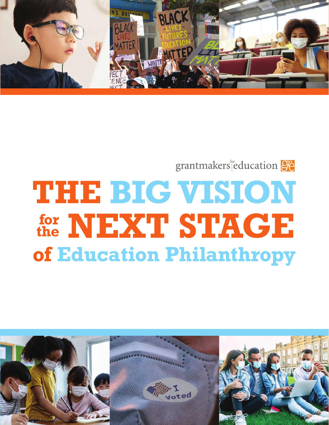

## grantmakers education 96

# **NEXT STAGE for THE BIG VISION of Education Philanthropy the**

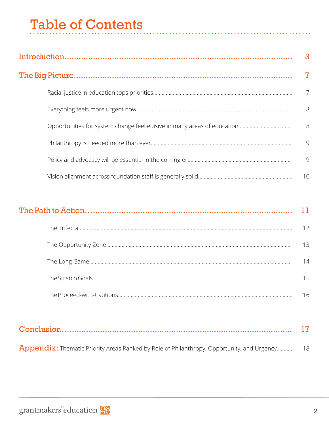## **Table of Contents**

| 3              |
|----------------|
|                |
| $\overline{7}$ |
| - 8            |
| 8              |
| 9              |
| 9              |
| 10             |

| 13 |
|----|
| 14 |
| 15 |
| 16 |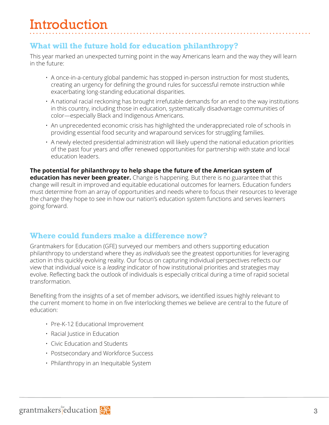## **Introduction**

## **What will the future hold for education philanthropy?**

This year marked an unexpected turning point in the way Americans learn and the way they will learn in the future:

- A once-in-a-century global pandemic has stopped in-person instruction for most students, creating an urgency for defining the ground rules for successful remote instruction while exacerbating long-standing educational disparities.
- A national racial reckoning has brought irrefutable demands for an end to the way institutions in this country, including those in education, systematically disadvantage communities of color—especially Black and Indigenous Americans.
- An unprecedented economic crisis has highlighted the underappreciated role of schools in providing essential food security and wraparound services for struggling families.
- A newly elected presidential administration will likely upend the national education priorities of the past four years and offer renewed opportunities for partnership with state and local education leaders.

**The potential for philanthropy to help shape the future of the American system of education has never been greater.** Change is happening. But there is no guarantee that this change will result in improved and equitable educational outcomes for learners. Education funders must determine from an array of opportunities and needs where to focus their resources to leverage the change they hope to see in how our nation's education system functions and serves learners going forward.

### **Where could funders make a difference now?**

Grantmakers for Education (GFE) surveyed our members and others supporting education philanthropy to understand where they as *individuals* see the greatest opportunities for leveraging action in this quickly evolving reality. Our focus on capturing individual perspectives reflects our view that individual voice is a *leading* indicator of how institutional priorities and strategies may evolve. Reflecting back the outlook of individuals is especially critical during a time of rapid societal transformation.

Benefiting from the insights of a set of member advisors, we identified issues highly relevant to the current moment to home in on five interlocking themes we believe are central to the future of education:

- Pre-K-12 Educational Improvement
- Racial Justice in Education
- Civic Education and Students
- Postsecondary and Workforce Success
- Philanthropy in an Inequitable System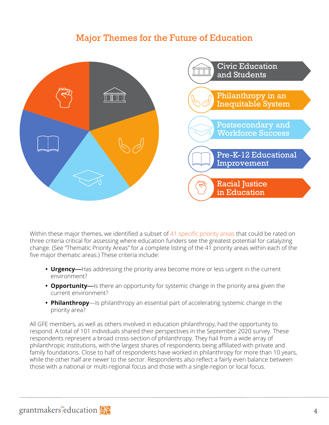## Major Themes for the Future of Education



Within these major themes, we identified a subset of 41 specific priority areas that could be rated on three criteria critical for assessing where education funders see the greatest potential for catalyzing change. (See "Thematic Priority Areas" for a complete listing of the 41 priority areas within each of the five major thematic areas.) These criteria include:

- **• Urgency**—Has addressing the priority area become more or less urgent in the current environment?
- **• Opportunity**—Is there an opportunity for systemic change in the priority area given the current environment?
- **• Philanthropy**—Is philanthropy an essential part of accelerating systemic change in the priority area?

All GFE members, as well as others involved in education philanthropy, had the opportunity to respond. A total of 101 individuals shared their perspectives in the September 2020 survey. These respondents represent a broad cross-section of philanthropy. They hail from a wide array of philanthropic institutions, with the largest shares of respondents being affiliated with private and family foundations. Close to half of respondents have worked in philanthropy for more than 10 years, while the other half are newer to the sector. Respondents also reflect a fairly even balance between those with a national or multi-regional focus and those with a single-region or local focus.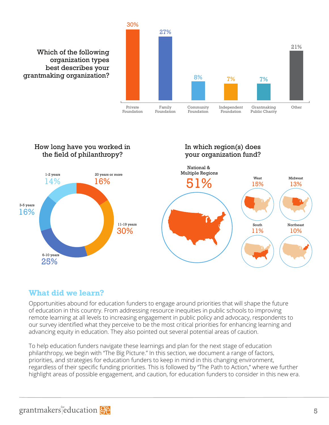



### **What did we learn?**

Opportunities abound for education funders to engage around priorities that will shape the future of education in this country. From addressing resource inequities in public schools to improving remote learning at all levels to increasing engagement in public policy and advocacy, respondents to our survey identified what they perceive to be the most critical priorities for enhancing learning and advancing equity in education. They also pointed out several potential areas of caution.

To help education funders navigate these learnings and plan for the next stage of education philanthropy, we begin with "The Big Picture." In this section, we document a range of factors, priorities, and strategies for education funders to keep in mind in this changing environment, regardless of their specific funding priorities. This is followed by "The Path to Action," where we further highlight areas of possible engagement, and caution, for education funders to consider in this new era.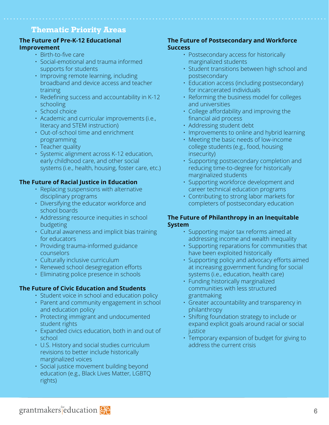### **Thematic Priority Areas**

#### **The Future of Pre-K-12 Educational Improvement**

- Birth-to-five care
- Social-emotional and trauma informed supports for students
- Improving remote learning, including broadband and device access and teacher training
- Redefining success and accountability in K-12 schooling
- School choice
- Academic and curricular improvements (i.e., literacy and STEM instruction)
- Out-of-school time and enrichment programming
- Teacher quality
- Systemic alignment across K-12 education, early childhood care, and other social systems (i.e., health, housing, foster care, etc.)

#### **The Future of Racial Justice in Education**

- Replacing suspensions with alternative disciplinary programs
- Diversifying the educator workforce and school boards
- Addressing resource inequities in school budgeting
- Cultural awareness and implicit bias training for educators
- Providing trauma-informed guidance counselors
- Culturally inclusive curriculum
- Renewed school desegregation efforts
- Eliminating police presence in schools

#### **The Future of Civic Education and Students**

- Student voice in school and education policy
- Parent and community engagement in school and education policy
- Protecting immigrant and undocumented student rights
- Expanded civics education, both in and out of school
- U.S. History and social studies curriculum revisions to better include historically marginalized voices
- Social justice movement building beyond education (e.g., Black Lives Matter, LGBTQ rights)

#### **The Future of Postsecondary and Workforce Success**

- Postsecondary access for historically marginalized students
- Student transitions between high school and postsecondary
- Education access (including postsecondary) for incarcerated individuals
- Reforming the business model for colleges and universities
- College affordability and improving the financial aid process
- Addressing student debt
- Improvements to online and hybrid learning
- Meeting the basic needs of low-income college students (e.g., food, housing insecurity)
- Supporting postsecondary completion and reducing time-to-degree for historically marginalized students
- Supporting workforce development and career technical education programs
- Contributing to strong labor markets for completers of postsecondary education

#### **The Future of Philanthropy in an Inequitable System**

- Supporting major tax reforms aimed at addressing income and wealth inequality
- Supporting reparations for communities that have been exploited historically
- Supporting policy and advocacy efforts aimed at increasing government funding for social systems (i.e., education, health care)
- Funding historically marginalized communities with less structured grantmaking
- Greater accountability and transparency in philanthropy
- Shifting foundation strategy to include or expand explicit goals around racial or social justice
- Temporary expansion of budget for giving to address the current crisis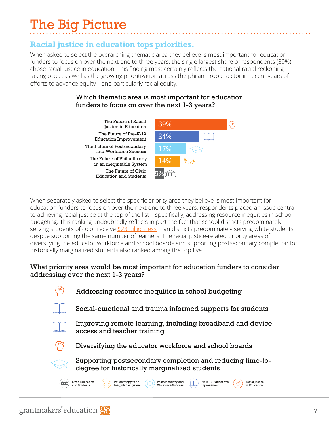## The Big Picture

## **Racial justice in education tops priorities.**

When asked to select the overarching thematic area they believe is most important for education funders to focus on over the next one to three years, the single largest share of respondents (39%) chose racial justice in education. This finding most certainly reflects the national racial reckoning taking place, as well as the growing prioritization across the philanthropic sector in recent years of efforts to advance equity—and particularly racial equity.

#### $\epsilon$  for the most inportant input in  $\epsilon$  is most input in  $\epsilon$ funders to focus on over the next 1-3 years? funders to focus on over the next 1-3 years? Which thematic area is most important for education

The Future of Postsecondary The Future of Postsecondary and Workforce Success 27% The Future of Racial The Future of Racial I de Future of Racial | 39%<br>Justice in Education | 39% The Future of Pre-K-12 Education Improvement 24% The Future of Civic The Future of Civic I die Future of Civic<br>Education and Students The Future of Philanthropy The Future of Philanthropy ie Future of Philanthropy<br>in an Inequitable System



When separately asked to select the specific priority area they believe is most important for education funders to focus on over the next one to three years, respondents placed an issue central to achieving racial justice at the top of the list—specifically, addressing resource inequities in school budgeting. This ranking undoubtedly reflects in part the fact that school districts predominately serving students of color receive [\\$23 billion less](https://edbuild.org/content/23-billion) than districts predominately serving white students, despite supporting the same number of learners. The racial justice-related priority areas of diversifying the educator workforce and school boards and supporting postsecondary completion for historically marginalized students also ranked among the top five.

#### What priority area would be most important for education funders to consider addressing over the next 1-3 years?

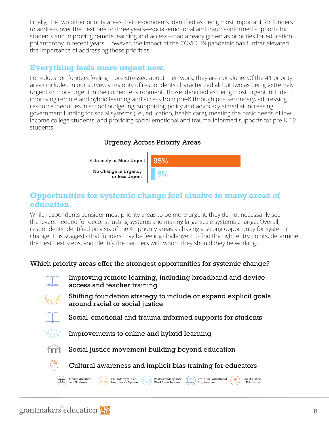Finally, the two other priority areas that respondents identified as being most important for funders to address over the next one to three years—social-emotional and trauma-informed supports for students and improving remote learning and access—had already grown as priorities for education philanthropy in recent years. However, the impact of the COVID-19 pandemic has further elevated the importance of addressing these priorities.

## **Everything feels more urgent now.**

For education funders feeling more stressed about their work, they are not alone. Of the 41 priority areas included in our survey, a majority of respondents characterized all but two as being extremely urgent or more urgent in the current environment. Those identified as being most urgent include improving remote and hybrid learning and access from pre-K through postsecondary, addressing resource inequities in school budgeting, supporting policy and advocacy aimed at increasing government funding for social systems (i.e., education, health care), meeting the basic needs of lowincome college students, and providing social-emotional and trauma-informed supports for pre-K-12 students.

#### Urgency Across Priority Areas



### **Opportunities for systemic change feel elusive in many areas of education.**

While respondents consider most priority areas to be more urgent, they do not necessarily see the levers needed for deconstructing systems and making large-scale systems change. Overall, respondents identified only six of the 41 priority areas as having a strong opportunity for systemic change. This suggests that funders may be feeling challenged to find the right entry points, determine the best next steps, and identify the partners with whom they should they be working.

#### Which priority areas offer the strongest opportunities for systemic change?



- Improving remote learning, including broadband and device access and teacher training
- 
- Shifting foundation strategy to include or expand explicit goals around racial or social justice



Social-emotional and trauma-informed supports for students



Improvements to online and hybrid learning



Social justice movement building beyond education



Cultural awareness and implicit bias training for educators

Postsecondary and Workforce Success

Pre-K-12 Educational Improvement

 $(m)$ 

Racial Justice in Education

 $\mathbb{R}$ 

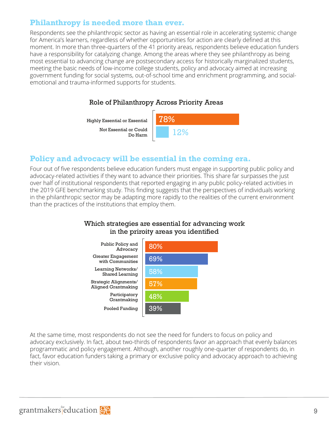### **Philanthropy is needed more than ever.**

Respondents see the philanthropic sector as having an essential role in accelerating systemic change for America's learners, regardless of whether opportunities for action are clearly defined at this moment. In more than three-quarters of the 41 priority areas, respondents believe education funders have a responsibility for catalyzing change. Among the areas where they see philanthropy as being most essential to advancing change are postsecondary access for historically marginalized students, meeting the basic needs of low-income college students, policy and advocacy aimed at increasing government funding for social systems, out-of-school time and enrichment programming, and socialemotional and trauma-informed supports for students.

#### Role of Philanthropy Across Priority Areas

Highly Essential or Essential Highly Essential or Essential

Not Essential or Could Do Harm Do Harm Not Essential or Could



#### **Policy and advocacy will be essential in the coming era.**

Four out of five respondents believe education funders must engage in supporting public policy and advocacy-related activities if they want to advance their priorities. This share far surpasses the just over half of institutional respondents that reported engaging in any public policy-related activities in the 2019 GFE benchmarking study. This finding suggests that the perspectives of individuals working in the philanthropic sector may be adapting more rapidly to the realities of the current environment than the practices of the institutions that employ them.

#### Which strategies are essential for advancing work in the priroity areas you identified



At the same time, most respondents do not see the need for funders to focus on policy and advocacy exclusively. In fact, about two-thirds of respondents favor an approach that evenly balances programmatic and policy engagement. Although, another roughly one-quarter of respondents do, in fact, favor education funders taking a primary or exclusive policy and advocacy approach to achieving their vision.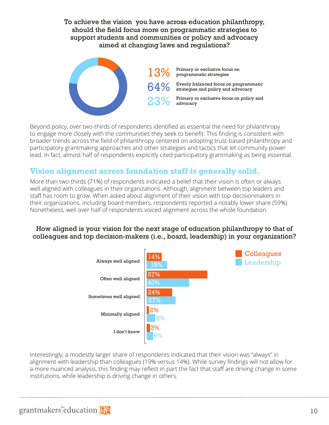#### To achieve the vision you have across education philanthropy, should the field focus more on programmatic strategies to support students and communities or policy and advocacy aimed at changing laws and regulations?



Beyond policy, over two-thirds of respondents identified as essential the need for philanthropy to engage more closely with the communities they seek to benefit. This finding is consistent with broader trends across the field of philanthropy centered on adopting trust-based philanthropy and participatory grantmaking approaches and other strategies and tactics that let community power lead. In fact, almost half of respondents explicitly cited participatory grantmaking as being essential.

### **Vision alignment across foundation staff is generally solid.**

More than two-thirds (71%) of respondents indicated a belief that their vision is often or always well aligned with colleagues in their organizations. Although, alignment between top leaders and staff has room to grow. When asked about alignment of their vision with top-decisionmakers in their organizations, including board members, respondents reported a notably lower share (59%). Nonetheless, well over half of respondents voiced alignment across the whole foundation.

#### How aligned is your vision for the next stage of education philanthropy to that of colleagues and top decision-makers (i.e., board, leadership) in your organization?



Interestingly, a modestly larger share of respondents indicated that their vision was "always" in alignment with leadership than colleagues (19% versus 14%). While survey findings will not allow for a more nuanced analysis, this finding may reflect in part the fact that staff are driving change in some institutions, while leadership is driving change in others.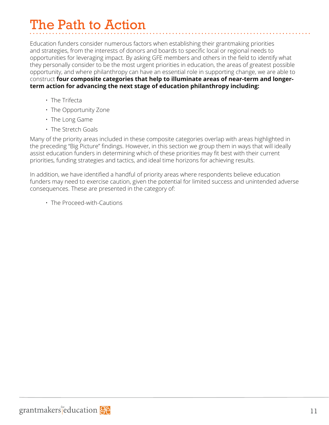## The Path to Action

Education funders consider numerous factors when establishing their grantmaking priorities and strategies, from the interests of donors and boards to specific local or regional needs to opportunities for leveraging impact. By asking GFE members and others in the field to identify what they personally consider to be the most urgent priorities in education, the areas of greatest possible opportunity, and where philanthropy can have an essential role in supporting change, we are able to construct **four composite categories that help to illuminate areas of near-term and longerterm action for advancing the next stage of education philanthropy including:** 

- The Trifecta
- The Opportunity Zone
- The Long Game
- The Stretch Goals

Many of the priority areas included in these composite categories overlap with areas highlighted in the preceding "Big Picture" findings. However, in this section we group them in ways that will ideally assist education funders in determining which of these priorities may fit best with their current priorities, funding strategies and tactics, and ideal time horizons for achieving results.

In addition, we have identified a handful of priority areas where respondents believe education funders may need to exercise caution, given the potential for limited success and unintended adverse consequences. These are presented in the category of:

• The Proceed-with-Cautions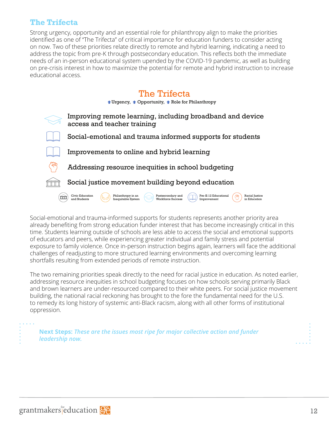#### **The Trifecta**

Strong urgency, opportunity and an essential role for philanthropy align to make the priorities identified as one of "The Trifecta" of critical importance for education funders to consider acting on now. Two of these priorities relate directly to remote and hybrid learning, indicating a need to address the topic from pre-K through postsecondary education. This reflects both the immediate needs of an in-person educational system upended by the COVID-19 pandemic, as well as building on pre-crisis interest in how to maximize the potential for remote and hybrid instruction to increase educational access.

## The Trifecta

 $\triangle$  Urgency,  $\triangle$  Opportunity,  $\triangle$  Role for Philanthropy



Social-emotional and trauma-informed supports for students represents another priority area already benefiting from strong education funder interest that has become increasingly critical in this time. Students learning outside of schools are less able to access the social and emotional supports of educators and peers, while experiencing greater individual and family stress and potential exposure to family violence. Once in-person instruction begins again, learners will face the additional challenges of readjusting to more structured learning environments and overcoming learning shortfalls resulting from extended periods of remote instruction.

The two remaining priorities speak directly to the need for racial justice in education. As noted earlier, addressing resource inequities in school budgeting focuses on how schools serving primarily Black and brown learners are under-resourced compared to their white peers. For social justice movement building, the national racial reckoning has brought to the fore the fundamental need for the U.S. to remedy its long history of systemic anti-Black racism, along with all other forms of institutional oppression.

**Next Steps:** *These are the issues most ripe for major collective action and funder leadership now.*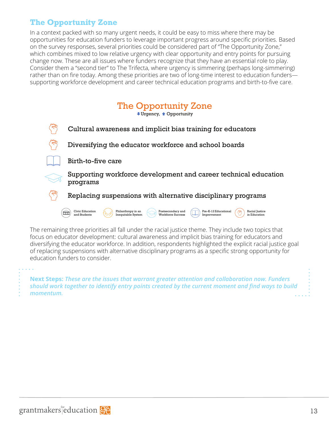## **The Opportunity Zone**

In a context packed with so many urgent needs, it could be easy to miss where there may be opportunities for education funders to leverage important progress around specific priorities. Based on the survey responses, several priorities could be considered part of "The Opportunity Zone," which combines mixed to low relative urgency with clear opportunity and entry points for pursuing change now. These are all issues where funders recognize that they have an essential role to play. Consider them a "second tier" to The Trifecta, where urgency is simmering (perhaps long-simmering) rather than on fire today. Among these priorities are two of long-time interest to education funders supporting workforce development and career technical education programs and birth-to-five care.



The remaining three priorities all fall under the racial justice theme. They include two topics that focus on educator development: cultural awareness and implicit bias training for educators and diversifying the educator workforce. In addition, respondents highlighted the explicit racial justice goal of replacing suspensions with alternative disciplinary programs as a specific strong opportunity for education funders to consider.

**Next Steps:** *These are the issues that warrant greater attention and collaboration now. Funders should work together to identify entry points created by the current moment and find ways to build momentum.*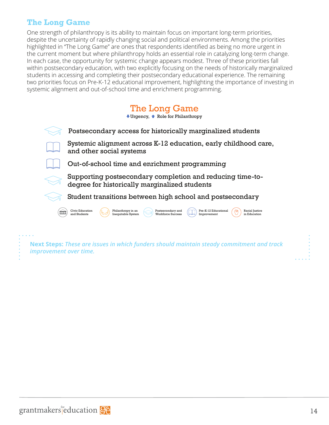## **The Long Game**

One strength of philanthropy is its ability to maintain focus on important long-term priorities, despite the uncertainty of rapidly changing social and political environments. Among the priorities highlighted in "The Long Game" are ones that respondents identified as being no more urgent in the current moment but where philanthropy holds an essential role in catalyzing long-term change. In each case, the opportunity for systemic change appears modest. Three of these priorities fall within postsecondary education, with two explicitly focusing on the needs of historically marginalized students in accessing and completing their postsecondary educational experience. The remaining two priorities focus on Pre-K-12 educational improvement, highlighting the importance of investing in systemic alignment and out-of-school time and enrichment programming.

## The Long Game

 $\overline{\bullet}$  Urgency,  $\hat{\bullet}$  Role for Philanthropy



Supporting postsecondary completion and reducing time-todegree for historically marginalized students

Student transitions between high school and postsecondary



**Next Steps:** *These are issues in which funders should maintain steady commitment and track improvement over time.*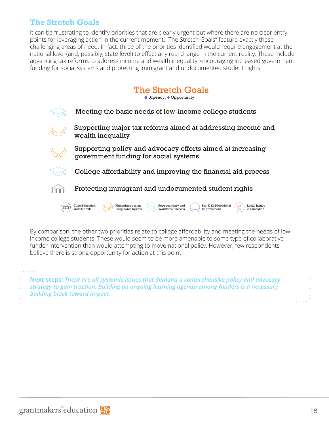### **The Stretch Goals**

It can be frustrating to identify priorities that are clearly urgent but where there are no clear entry points for leveraging action in the current moment. "The Stretch Goals" feature exactly these challenging areas of need. In fact, three of the priorities identified would require engagement at the national level (and, possibly, state level) to effect any real change in the current reality. These include advancing tax reforms to address income and wealth inequality, encouraging increased government funding for social systems and protecting immigrant and undocumented student rights.

## The Stretch Goals The Stretch Goals

<sup>▲</sup> Urgency,  $\bullet$  Opportunity



By comparison, the other two priorities relate to college affordability and meeting the needs of lowincome college students. These would seem to be more amenable to some type of collaborative funder intervention than would attempting to move national policy. However, few respondents believe there is strong opportunity for action at this point.

**Next steps:** *These are all systemic issues that demand a comprehensive policy and advocacy strategy to gain traction. Building an ongoing learning agenda among funders is a necessary building block toward impact.* 

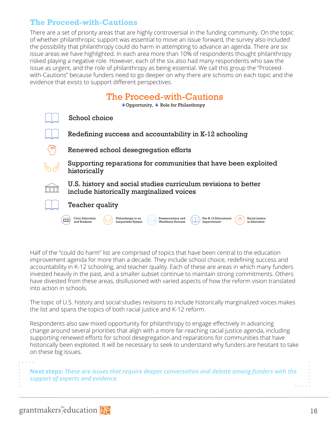### **The Proceed-with-Cautions**

There are a set of priority areas that are highly controversial in the funding community. On the topic of whether philanthropic support was essential to move an issue forward, the survey also included the possibility that philanthropy could do harm in attempting to advance an agenda. There are six issue areas we have highlighted. In each area more than 10% of respondents thought philanthropy risked playing a negative role. However, each of the six also had many respondents who saw the issue as urgent, and the role of philanthropy as being essential. We call this group the "Proceedwith-Cautions" because funders need to go deeper on why there are schisms on each topic and the evidence that exists to support different perspectives.

| The Proceed-with-Cautions<br>$\bullet$ Opportunity, $\bullet$ Role for Philanthropy                                                                                                            |
|------------------------------------------------------------------------------------------------------------------------------------------------------------------------------------------------|
| School choice                                                                                                                                                                                  |
| Redefining success and accountability in K-12 schooling                                                                                                                                        |
| Renewed school desegregation efforts                                                                                                                                                           |
| Supporting reparations for communities that have been exploited<br>historically                                                                                                                |
| U.S. history and social studies curriculum revisions to better<br>include historically marginalized voices                                                                                     |
| Teacher quality                                                                                                                                                                                |
| Pre-K-12 Educational<br>Civic Education<br>Philanthropy in an<br>Postsecondary and<br>Racial Justice<br>and Students<br>Inequitable System<br>Workforce Success<br>in Education<br>Improvement |

Half of the "could do harm" list are comprised of topics that have been central to the education improvement agenda for more than a decade. They include school choice, redefining success and accountability in K-12 schooling, and teacher quality. Each of these are areas in which many funders invested heavily in the past, and a smaller subset continue to maintain strong commitments. Others have divested from these areas, disillusioned with varied aspects of how the reform vision translated into action in schools.

The topic of U.S. history and social studies revisions to include historically marginalized voices makes the list and spans the topics of both racial justice and K-12 reform.

Respondents also saw mixed opportunity for philanthropy to engage effectively in advancing change around several priorities that align with a more far-reaching racial justice agenda, including supporting renewed efforts for school desegregation and reparations for communities that have historically been exploited. It will be necessary to seek to understand why funders are hesitant to take on these big issues.

**Next steps:** *These are issues that require deeper conversation and debate among funders with the support of experts and evidence.*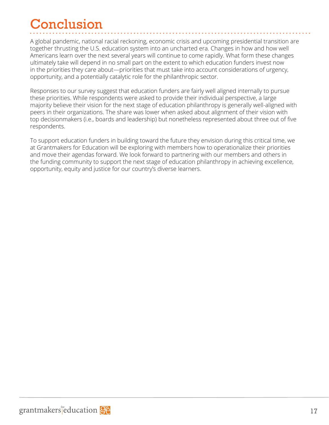## Conclusion

A global pandemic, national racial reckoning, economic crisis and upcoming presidential transition are together thrusting the U.S. education system into an uncharted era. Changes in how and how well Americans learn over the next several years will continue to come rapidly. What form these changes ultimately take will depend in no small part on the extent to which education funders invest now in the priorities they care about—priorities that must take into account considerations of urgency, opportunity, and a potentially catalytic role for the philanthropic sector.

Responses to our survey suggest that education funders are fairly well aligned internally to pursue these priorities. While respondents were asked to provide their individual perspective, a large majority believe their vision for the next stage of education philanthropy is generally well-aligned with peers in their organizations. The share was lower when asked about alignment of their vision with top decisionmakers (i.e., boards and leadership) but nonetheless represented about three out of five respondents.

To support education funders in building toward the future they envision during this critical time, we at Grantmakers for Education will be exploring with members how to operationalize their priorities and move their agendas forward. We look forward to partnering with our members and others in the funding community to support the next stage of education philanthropy in achieving excellence, opportunity, equity and justice for our country's diverse learners.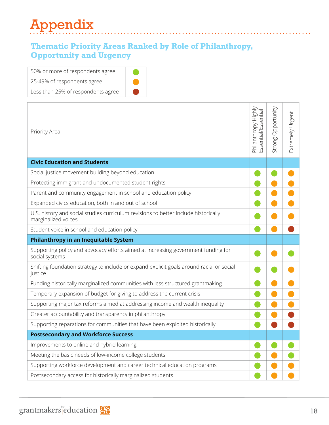## Appendix

## **Thematic Priority Areas Ranked by Role of Philanthropy, Opportunity and Urgency**

| 50% or more of respondents agree   |  |
|------------------------------------|--|
| 25-49% of respondents agree        |  |
| Less than 25% of respondents agree |  |

| Priority Area                                                                                              | Philanthropy Highly<br>Essential/Essential | Opportunity<br>Strong | Extremely Urgent |
|------------------------------------------------------------------------------------------------------------|--------------------------------------------|-----------------------|------------------|
| <b>Civic Education and Students</b>                                                                        |                                            |                       |                  |
| Social justice movement building beyond education                                                          |                                            |                       |                  |
| Protecting immigrant and undocumented student rights                                                       |                                            |                       |                  |
| Parent and community engagement in school and education policy                                             |                                            |                       |                  |
| Expanded civics education, both in and out of school                                                       |                                            |                       |                  |
| U.S. history and social studies curriculum revisions to better include historically<br>marginalized voices |                                            |                       |                  |
| Student voice in school and education policy                                                               |                                            |                       |                  |
| Philanthropy in an Inequitable System                                                                      |                                            |                       |                  |
| Supporting policy and advocacy efforts aimed at increasing government funding for<br>social systems        |                                            |                       |                  |
| Shifting foundation strategy to include or expand explicit goals around racial or social<br>justice        |                                            |                       |                  |
| Funding historically marginalized communities with less structured grantmaking                             |                                            |                       |                  |
| Temporary expansion of budget for giving to address the current crisis                                     |                                            |                       |                  |
| Supporting major tax reforms aimed at addressing income and wealth inequality                              |                                            |                       |                  |
| Greater accountability and transparency in philanthropy                                                    |                                            |                       |                  |
| Supporting reparations for communities that have been exploited historically                               |                                            |                       |                  |
| <b>Postsecondary and Workforce Success</b>                                                                 |                                            |                       |                  |
| Improvements to online and hybrid learning                                                                 |                                            |                       |                  |
| Meeting the basic needs of low-income college students                                                     |                                            |                       |                  |
| Supporting workforce development and career technical education programs                                   |                                            |                       |                  |
| Postsecondary access for historically marginalized students                                                |                                            |                       |                  |